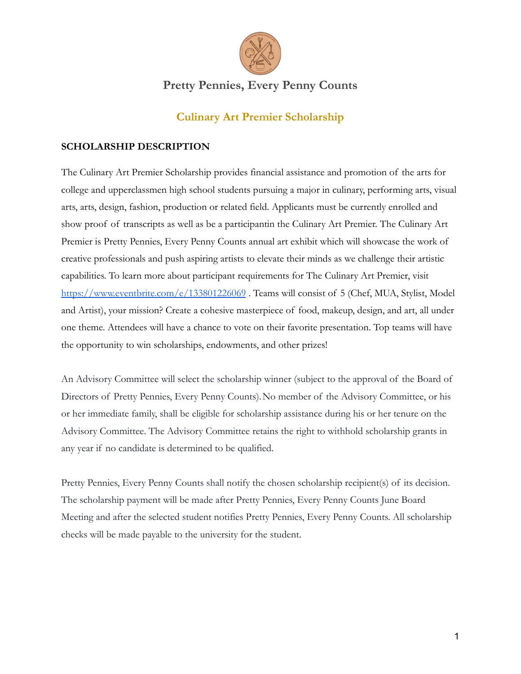

# **Pretty Pennies, Every Penny Counts**

### **Culinary Art Premier Scholarship**

### **SCHOLARSHIP DESCRIPTION**

The Culinary Art Premier Scholarship provides financial assistance and promotion of the arts for college and upperclassmen high school students pursuing a major in culinary, performing arts, visual arts, arts, design, fashion, production or related field. Applicants must be currently enrolled and show proof of transcripts as well as be a participantin the Culinary Art Premier. The Culinary Art Premier is Pretty Pennies, Every Penny Counts annual art exhibit which will showcase the work of creative professionals and push aspiring artists to elevate their minds as we challenge their artistic capabilities. To learn more about participant requirements for The Culinary Art Premier, visit <https://www.eventbrite.com/e/133801226069>. Teams will consist of 5 (Chef, MUA, Stylist, Model and Artist), your mission? Create a cohesive masterpiece of food, makeup, design, and art, all under one theme. Attendees will have a chance to vote on their favorite presentation. Top teams will have the opportunity to win scholarships, endowments, and other prizes!

An Advisory Committee will select the scholarship winner (subject to the approval of the Board of Directors of Pretty Pennies, Every Penny Counts).No member of the Advisory Committee, or his or her immediate family, shall be eligible for scholarship assistance during his or her tenure on the Advisory Committee. The Advisory Committee retains the right to withhold scholarship grants in any year if no candidate is determined to be qualified.

Pretty Pennies, Every Penny Counts shall notify the chosen scholarship recipient(s) of its decision. The scholarship payment will be made after Pretty Pennies, Every Penny Counts June Board Meeting and after the selected student notifies Pretty Pennies, Every Penny Counts. All scholarship checks will be made payable to the university for the student.